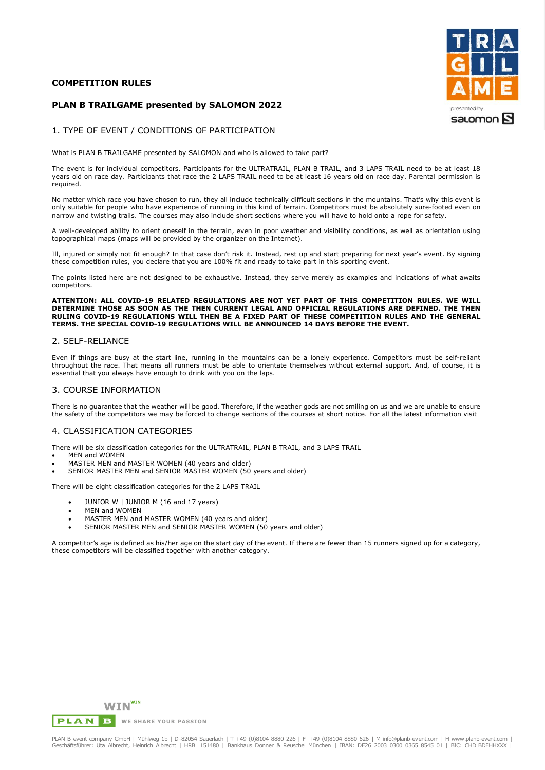# **COMPETITION RULES**





# 1. TYPE OF EVENT / CONDITIONS OF PARTICIPATION

What is PLAN B TRAILGAME presented by SALOMON and who is allowed to take part?

The event is for individual competitors. Participants for the ULTRATRAIL, PLAN B TRAIL, and 3 LAPS TRAIL need to be at least 18 years old on race day. Participants that race the 2 LAPS TRAIL need to be at least 16 years old on race day. Parental permission is required.

No matter which race you have chosen to run, they all include technically difficult sections in the mountains. That's why this event is only suitable for people who have experience of running in this kind of terrain. Competitors must be absolutely sure-footed even on narrow and twisting trails. The courses may also include short sections where you will have to hold onto a rope for safety.

A well-developed ability to orient oneself in the terrain, even in poor weather and visibility conditions, as well as orientation using topographical maps (maps will be provided by the organizer on the Internet).

Ill, injured or simply not fit enough? In that case don't risk it. Instead, rest up and start preparing for next year's event. By signing these competition rules, you declare that you are 100% fit and ready to take part in this sporting event.

The points listed here are not designed to be exhaustive. Instead, they serve merely as examples and indications of what awaits competitors.

#### **ATTENTION: ALL COVID-19 RELATED REGULATIONS ARE NOT YET PART OF THIS COMPETITION RULES. WE WILL DETERMINE THOSE AS SOON AS THE THEN CURRENT LEGAL AND OFFICIAL REGULATIONS ARE DEFINED. THE THEN RULING COVID-19 REGULATIONS WILL THEN BE A FIXED PART OF THESE COMPETITION RULES AND THE GENERAL TERMS. THE SPECIAL COVID-19 REGULATIONS WILL BE ANNOUNCED 14 DAYS BEFORE THE EVENT.**

## 2. SELF-RELIANCE

Even if things are busy at the start line, running in the mountains can be a lonely experience. Competitors must be self-reliant throughout the race. That means all runners must be able to orientate themselves without external support. And, of course, it is essential that you always have enough to drink with you on the laps.

# 3. COURSE INFORMATION

There is no guarantee that the weather will be good. Therefore, if the weather gods are not smiling on us and we are unable to ensure the safety of the competitors we may be forced to change sections of the courses at short notice. For all the latest information visit

# 4. CLASSIFICATION CATEGORIES

- There will be six classification categories for the ULTRATRAIL, PLAN B TRAIL, and 3 LAPS TRAIL
- MEN and WOMEN
- MASTER MEN and MASTER WOMEN (40 years and older)
- SENIOR MASTER MEN and SENIOR MASTER WOMEN (50 years and older)

There will be eight classification categories for the 2 LAPS TRAIL

- JUNIOR W | JUNIOR M (16 and 17 years)
- MEN and WOMEN
- MASTER MEN and MASTER WOMEN (40 years and older)
- SENIOR MASTER MEN and SENIOR MASTER WOMEN (50 years and older)

A competitor's age is defined as his/her age on the start day of the event. If there are fewer than 15 runners signed up for a category, these competitors will be classified together with another category.

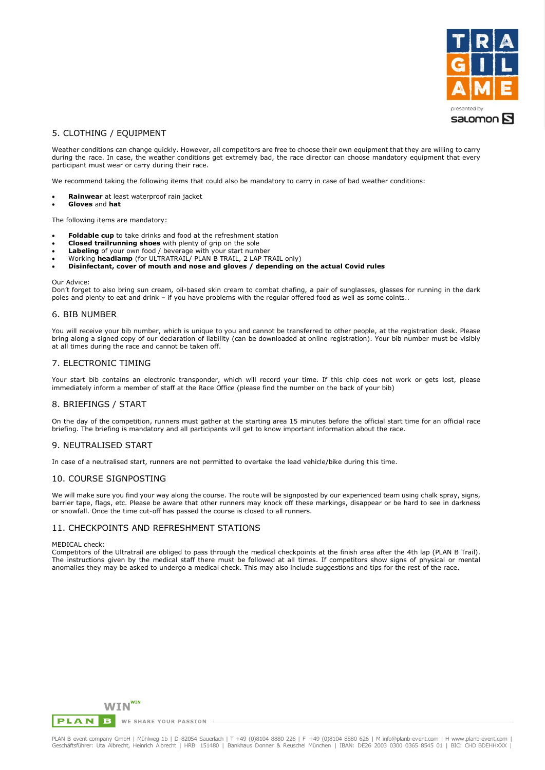

# 5. CLOTHING / EQUIPMENT

Weather conditions can change quickly. However, all competitors are free to choose their own equipment that they are willing to carry during the race. In case, the weather conditions get extremely bad, the race director can choose mandatory equipment that every participant must wear or carry during their race.

We recommend taking the following items that could also be mandatory to carry in case of bad weather conditions:

- **Rainwear** at least waterproof rain jacket
- **Gloves** and **hat**

The following items are mandatory:

- **Foldable cup** to take drinks and food at the refreshment station
- **Closed trailrunning shoes** with plenty of grip on the sole
- Labeling of your own food / beverage with your start number
- Working **headlamp** (for ULTRATRAIL/ PLAN B TRAIL, 2 LAP TRAIL only)
- **Disinfectant, cover of mouth and nose and gloves / depending on the actual Covid rules**

#### Our Advice:

Don't forget to also bring sun cream, oil-based skin cream to combat chafing, a pair of sunglasses, glasses for running in the dark poles and plenty to eat and drink – if you have problems with the regular offered food as well as some coints..

# 6. BIB NUMBER

You will receive your bib number, which is unique to you and cannot be transferred to other people, at the registration desk. Please bring along a signed copy of our declaration of liability (can be downloaded at online registration). Your bib number must be visibly at all times during the race and cannot be taken off.

# 7. ELECTRONIC TIMING

Your start bib contains an electronic transponder, which will record your time. If this chip does not work or gets lost, please immediately inform a member of staff at the Race Office (please find the number on the back of your bib)

## 8. BRIEFINGS / START

On the day of the competition, runners must gather at the starting area 15 minutes before the official start time for an official race briefing. The briefing is mandatory and all participants will get to know important information about the race.

## 9. NEUTRALISED START

In case of a neutralised start, runners are not permitted to overtake the lead vehicle/bike during this time.

# 10. COURSE SIGNPOSTING

We will make sure you find your way along the course. The route will be signposted by our experienced team using chalk spray, signs, barrier tape, flags, etc. Please be aware that other runners may knock off these markings, disappear or be hard to see in darkness or snowfall. Once the time cut-off has passed the course is closed to all runners.

## 11. CHECKPOINTS AND REFRESHMENT STATIONS

#### MEDICAL check:

Competitors of the Ultratrail are obliged to pass through the medical checkpoints at the finish area after the 4th lap (PLAN B Trail). The instructions given by the medical staff there must be followed at all times. If competitors show signs of physical or mental anomalies they may be asked to undergo a medical check. This may also include suggestions and tips for the rest of the race.

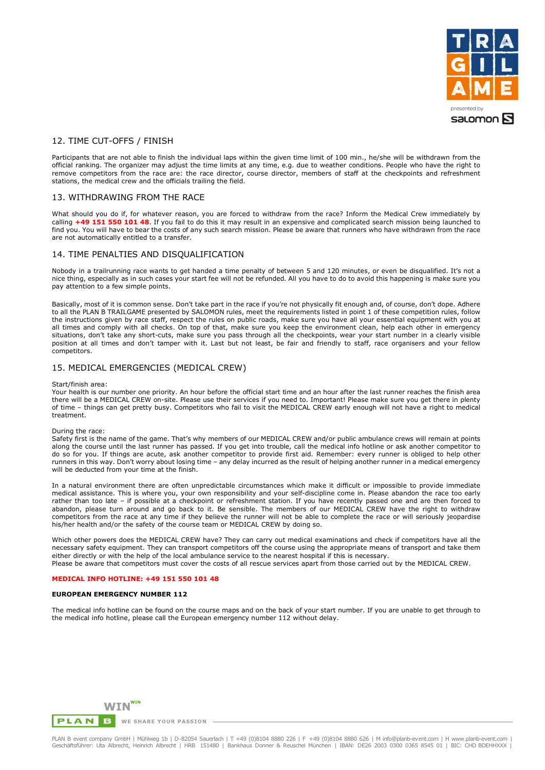

# 12. TIME CUT-OFFS / FINISH

Participants that are not able to finish the individual laps within the given time limit of 100 min., he/she will be withdrawn from the official ranking. The organizer may adjust the time limits at any time, e.g. due to weather conditions. People who have the right to remove competitors from the race are: the race director, course director, members of staff at the checkpoints and refreshment stations, the medical crew and the officials trailing the field.

# 13. WITHDRAWING FROM THE RACE

What should you do if, for whatever reason, you are forced to withdraw from the race? Inform the Medical Crew immediately by calling **+49 151 550 101 48**. If you fail to do this it may result in an expensive and complicated search mission being launched to find you. You will have to bear the costs of any such search mission. Please be aware that runners who have withdrawn from the race are not automatically entitled to a transfer.

# 14. TIME PENALTIES AND DISQUALIFICATION

Nobody in a trailrunning race wants to get handed a time penalty of between 5 and 120 minutes, or even be disqualified. It's not a nice thing, especially as in such cases your start fee will not be refunded. All you have to do to avoid this happening is make sure you pay attention to a few simple points.

Basically, most of it is common sense. Don't take part in the race if you're not physically fit enough and, of course, don't dope. Adhere to all the PLAN B TRAILGAME presented by SALOMON rules, meet the requirements listed in point 1 of these competition rules, follow the instructions given by race staff, respect the rules on public roads, make sure you have all your essential equipment with you at all times and comply with all checks. On top of that, make sure you keep the environment clean, help each other in emergency situations, don't take any short-cuts, make sure you pass through all the checkpoints, wear your start number in a clearly visible position at all times and don't tamper with it. Last but not least, be fair and friendly to staff, race organisers and your fellow competitors.

# 15. MEDICAL EMERGENCIES (MEDICAL CREW)

#### Start/finish area:

Your health is our number one priority. An hour before the official start time and an hour after the last runner reaches the finish area there will be a MEDICAL CREW on-site. Please use their services if you need to. Important! Please make sure you get there in plenty of time – things can get pretty busy. Competitors who fail to visit the MEDICAL CREW early enough will not have a right to medical treatment.

#### During the race:

Safety first is the name of the game. That's why members of our MEDICAL CREW and/or public ambulance crews will remain at points along the course until the last runner has passed. If you get into trouble, call the medical info hotline or ask another competitor to do so for you. If things are acute, ask another competitor to provide first aid. Remember: every runner is obliged to help other runners in this way. Don't worry about losing time – any delay incurred as the result of helping another runner in a medical emergency will be deducted from your time at the finish.

In a natural environment there are often unpredictable circumstances which make it difficult or impossible to provide immediate medical assistance. This is where you, your own responsibility and your self-discipline come in. Please abandon the race too early rather than too late – if possible at a checkpoint or refreshment station. If you have recently passed one and are then forced to abandon, please turn around and go back to it. Be sensible. The members of our MEDICAL CREW have the right to withdraw competitors from the race at any time if they believe the runner will not be able to complete the race or will seriously jeopardise his/her health and/or the safety of the course team or MEDICAL CREW by doing so.

Which other powers does the MEDICAL CREW have? They can carry out medical examinations and check if competitors have all the necessary safety equipment. They can transport competitors off the course using the appropriate means of transport and take them either directly or with the help of the local ambulance service to the nearest hospital if this is necessary. Please be aware that competitors must cover the costs of all rescue services apart from those carried out by the MEDICAL CREW.

#### **MEDICAL INFO HOTLINE: +49 151 550 101 48**

### **EUROPEAN EMERGENCY NUMBER 112**

The medical info hotline can be found on the course maps and on the back of your start number. If you are unable to get through to the medical info hotline, please call the European emergency number 112 without delay.